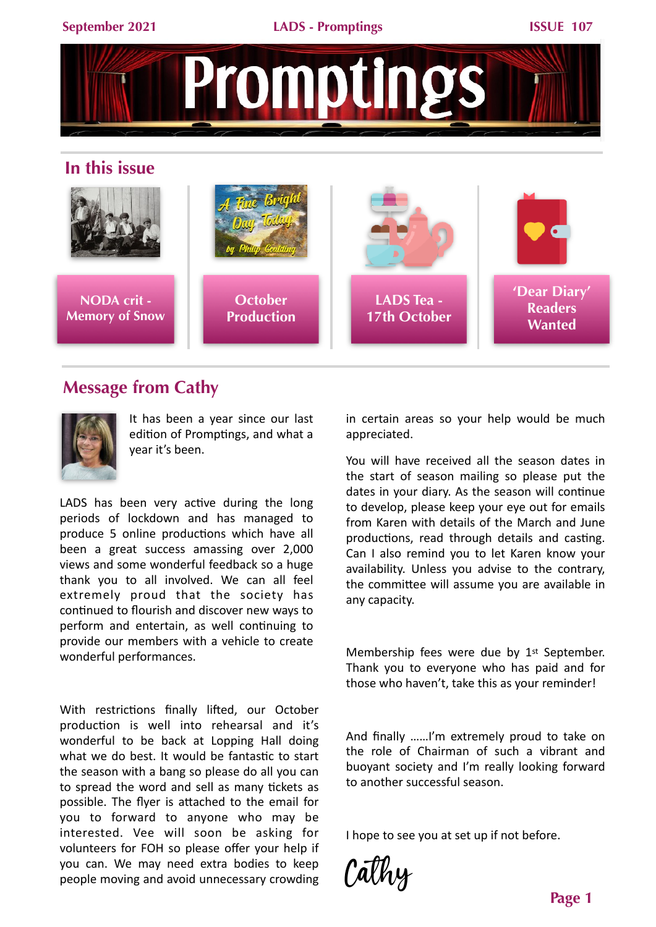

## **Message from Cathy**

**Memory of Snow**



It has been a year since our last edition of Promptings, and what a year it's been.

**Production**

LADS has been very active during the long periods of lockdown and has managed to produce 5 online productions which have all been a great success amassing over 2,000 views and some wonderful feedback so a huge thank you to all involved. We can all feel extremely proud that the society has continued to flourish and discover new ways to perform and entertain, as well continuing to provide our members with a vehicle to create wonderful performances.

With restrictions finally lifted, our October production is well into rehearsal and it's wonderful to be back at Lopping Hall doing what we do best. It would be fantastic to start the season with a bang so please do all you can to spread the word and sell as many tickets as possible. The flyer is attached to the email for you to forward to anyone who may be interested. Vee will soon be asking for volunteers for FOH so please offer your help if you can. We may need extra bodies to keep people moving and avoid unnecessary crowding

in certain areas so your help would be much appreciated. 

**Wanted**

**17th October**

You will have received all the season dates in the start of season mailing so please put the dates in your diary. As the season will continue to develop, please keep your eye out for emails from Karen with details of the March and June productions, read through details and casting. Can I also remind you to let Karen know your availability. Unless you advise to the contrary, the committee will assume you are available in any capacity.

Membership fees were due by 1<sup>st</sup> September. Thank you to everyone who has paid and for those who haven't, take this as your reminder!

And finally ......I'm extremely proud to take on the role of Chairman of such a vibrant and buoyant society and I'm really looking forward to another successful season.

I hope to see you at set up if not before.

Cathy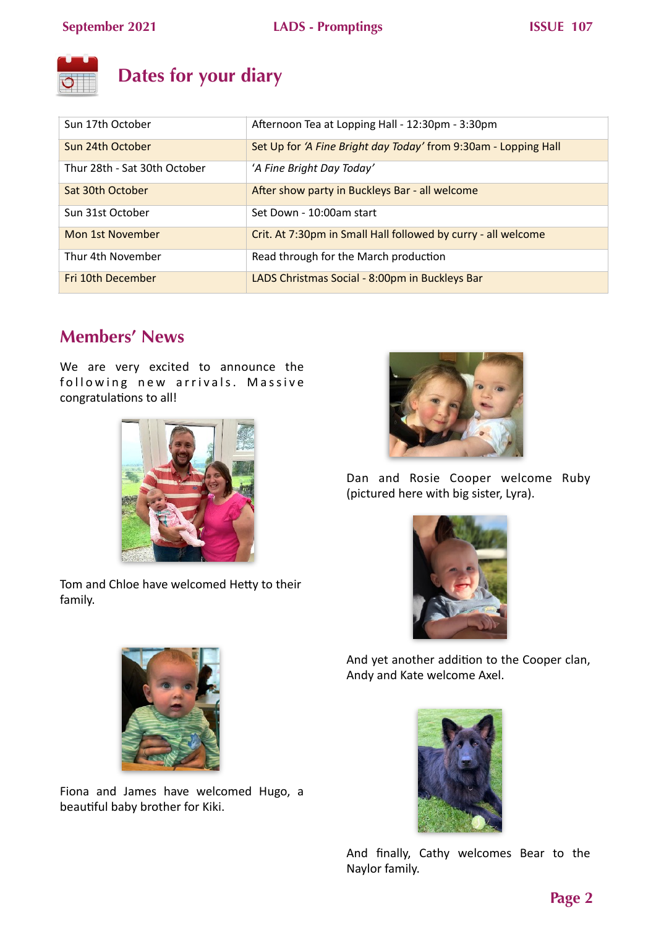

# **Dates for your diary**

| Sun 17th October             | Afternoon Tea at Lopping Hall - 12:30pm - 3:30pm                |
|------------------------------|-----------------------------------------------------------------|
| Sun 24th October             | Set Up for 'A Fine Bright day Today' from 9:30am - Lopping Hall |
| Thur 28th - Sat 30th October | 'A Fine Bright Day Today'                                       |
| Sat 30th October             | After show party in Buckleys Bar - all welcome                  |
| Sun 31st October             | Set Down - 10:00am start                                        |
| Mon 1st November             | Crit. At 7:30pm in Small Hall followed by curry - all welcome   |
| Thur 4th November            | Read through for the March production                           |
| Fri 10th December            | LADS Christmas Social - 8:00pm in Buckleys Bar                  |

## **Members' News**

We are very excited to announce the following new arrivals. Massive congratulations to all!



Tom and Chloe have welcomed Hetty to their family.



Dan and Rosie Cooper welcome Ruby (pictured here with big sister, Lyra).



And yet another addition to the Cooper clan, Andy and Kate welcome Axel.



Fiona and James have welcomed Hugo, a beautiful baby brother for Kiki.



And finally, Cathy welcomes Bear to the Naylor family.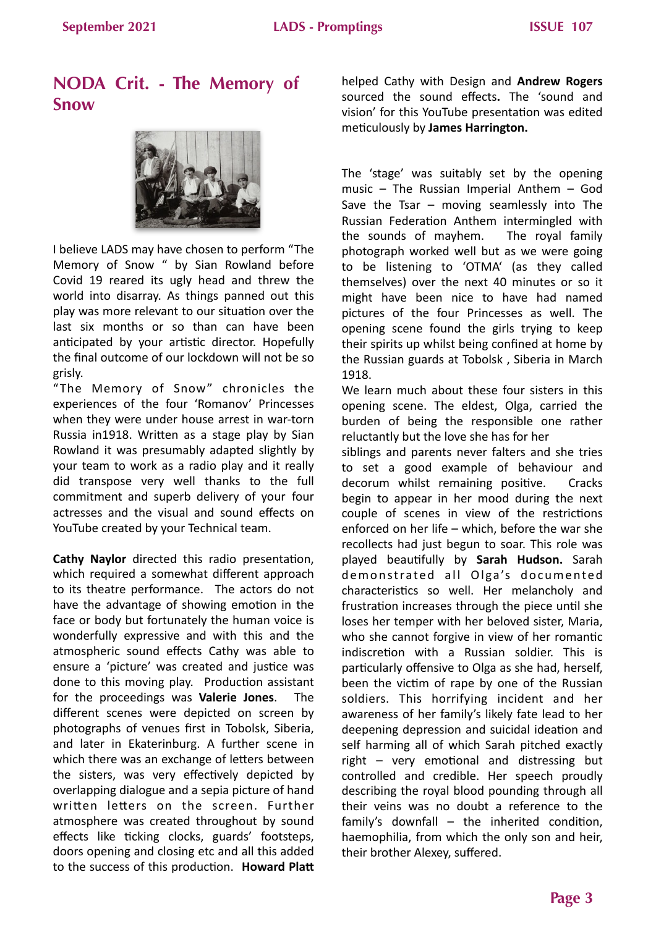## **NODA Crit. - The Memory of Snow**



I believe LADS may have chosen to perform "The Memory of Snow " by Sian Rowland before Covid 19 reared its ugly head and threw the world into disarray. As things panned out this play was more relevant to our situation over the last six months or so than can have been anticipated by your artistic director. Hopefully the final outcome of our lockdown will not be so grisly.

"The Memory of Snow" chronicles the experiences of the four 'Romanov' Princesses when they were under house arrest in war-torn Russia in1918. Written as a stage play by Sian Rowland it was presumably adapted slightly by your team to work as a radio play and it really did transpose very well thanks to the full commitment and superb delivery of your four actresses and the visual and sound effects on YouTube created by your Technical team.

**Cathy Naylor** directed this radio presentation, which required a somewhat different approach to its theatre performance. The actors do not have the advantage of showing emotion in the face or body but fortunately the human voice is wonderfully expressive and with this and the atmospheric sound effects Cathy was able to ensure a 'picture' was created and justice was done to this moving play. Production assistant for the proceedings was **Valerie Jones**. The different scenes were depicted on screen by photographs of venues first in Tobolsk, Siberia, and later in Ekaterinburg. A further scene in which there was an exchange of letters between the sisters, was very effectively depicted by overlapping dialogue and a sepia picture of hand written letters on the screen. Further atmosphere was created throughout by sound effects like ticking clocks, guards' footsteps, doors opening and closing etc and all this added to the success of this production. Howard Platt helped Cathy with Design and **Andrew Rogers** sourced the sound effects**.**  The 'sound and vision' for this YouTube presentation was edited meticulously by **James Harrington.** 

The 'stage' was suitably set by the opening music – The Russian Imperial Anthem – God Save the Tsar – moving seamlessly into The Russian Federation Anthem intermingled with the sounds of mayhem. The royal family photograph worked well but as we were going to be listening to 'OTMA' (as they called themselves) over the next 40 minutes or so it might have been nice to have had named pictures of the four Princesses as well. The opening scene found the girls trying to keep their spirits up whilst being confined at home by the Russian guards at Tobolsk, Siberia in March 1918.

We learn much about these four sisters in this opening scene. The eldest, Olga, carried the burden of being the responsible one rather reluctantly but the love she has for her

siblings and parents never falters and she tries to set a good example of behaviour and decorum whilst remaining positive. Cracks begin to appear in her mood during the next couple of scenes in view of the restrictions enforced on her life  $-$  which, before the war she recollects had just begun to soar. This role was played beautifully by **Sarah Hudson.** Sarah demonstrated all Olga's documented characteristics so well. Her melancholy and frustration increases through the piece until she loses her temper with her beloved sister, Maria, who she cannot forgive in view of her romantic indiscretion with a Russian soldier. This is particularly offensive to Olga as she had, herself, been the victim of rape by one of the Russian soldiers. This horrifying incident and her awareness of her family's likely fate lead to her deepening depression and suicidal ideation and self harming all of which Sarah pitched exactly right  $-$  very emotional and distressing but controlled and credible. Her speech proudly describing the royal blood pounding through all their veins was no doubt a reference to the family's downfall  $-$  the inherited condition, haemophilia, from which the only son and heir, their brother Alexey, suffered.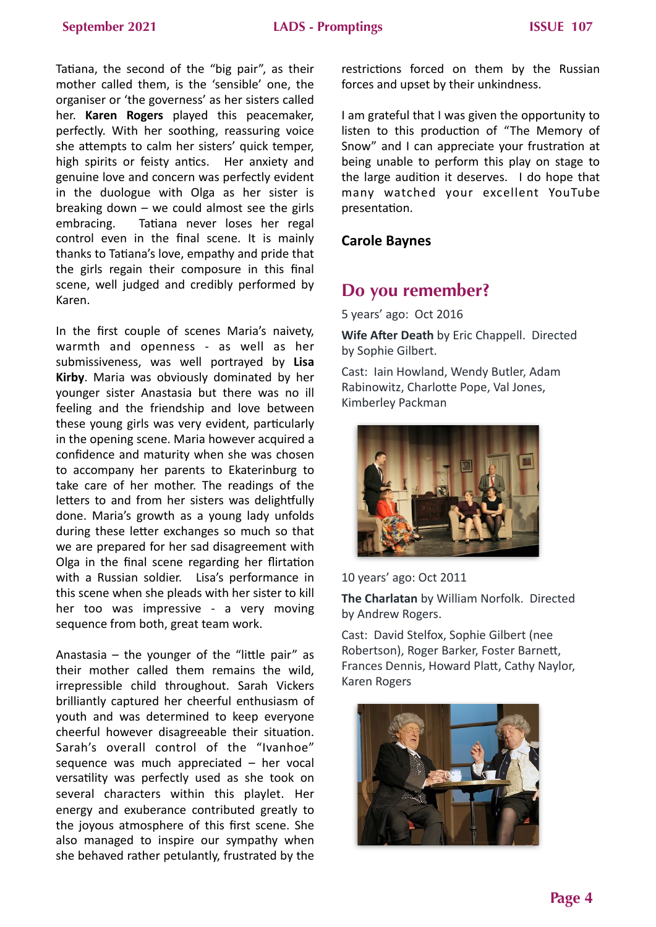Tatiana, the second of the "big pair", as their mother called them, is the 'sensible' one, the organiser or 'the governess' as her sisters called her. **Karen Rogers** played this peacemaker, perfectly. With her soothing, reassuring voice she attempts to calm her sisters' quick temper, high spirits or feisty antics. Her anxiety and genuine love and concern was perfectly evident in the duologue with Olga as her sister is breaking down  $-$  we could almost see the girls embracing. Tatiana never loses her regal control even in the final scene. It is mainly thanks to Tatiana's love, empathy and pride that the girls regain their composure in this final scene, well judged and credibly performed by Karen.

In the first couple of scenes Maria's naivety, warmth and openness - as well as her submissiveness, was well portrayed by Lisa **Kirby**. Maria was obviously dominated by her younger sister Anastasia but there was no ill feeling and the friendship and love between these young girls was very evident, particularly in the opening scene. Maria however acquired a confidence and maturity when she was chosen to accompany her parents to Ekaterinburg to take care of her mother. The readings of the letters to and from her sisters was delightfully done. Maria's growth as a young lady unfolds during these letter exchanges so much so that we are prepared for her sad disagreement with Olga in the final scene regarding her flirtation with a Russian soldier. Lisa's performance in this scene when she pleads with her sister to kill her too was impressive - a very moving sequence from both, great team work.

Anastasia  $-$  the younger of the "little pair" as their mother called them remains the wild. irrepressible child throughout. Sarah Vickers brilliantly captured her cheerful enthusiasm of youth and was determined to keep everyone cheerful however disagreeable their situation. Sarah's overall control of the "Ivanhoe" sequence was much appreciated  $-$  her vocal versatility was perfectly used as she took on several characters within this playlet. Her energy and exuberance contributed greatly to the joyous atmosphere of this first scene. She also managed to inspire our sympathy when she behaved rather petulantly, frustrated by the

restrictions forced on them by the Russian forces and upset by their unkindness.

I am grateful that I was given the opportunity to listen to this production of "The Memory of Snow" and I can appreciate your frustration at being unable to perform this play on stage to the large audition it deserves. I do hope that many watched your excellent YouTube presentation. 

### **Carole Baynes**

## **Do you remember?**

5 years' ago: Oct 2016

**Wife After Death** by Eric Chappell. Directed by Sophie Gilbert.

Cast: Iain Howland, Wendy Butler, Adam Rabinowitz, Charlotte Pope, Val Jones, Kimberley Packman



10 years' ago: Oct 2011

**The Charlatan** by William Norfolk. Directed by Andrew Rogers.

Cast: David Stelfox, Sophie Gilbert (nee Robertson), Roger Barker, Foster Barnett, Frances Dennis, Howard Platt, Cathy Naylor, Karen Rogers